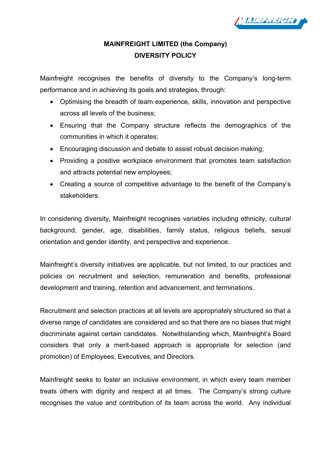

## **MAINFREIGHT LIMITED (the Company) DIVERSITY POLICY**

Mainfreight recognises the benefits of diversity to the Company's long-term performance and in achieving its goals and strategies, through:

- Optimising the breadth of team experience, skills, innovation and perspective across all levels of the business;
- Ensuring that the Company structure reflects the demographics of the communities in which it operates;
- Encouraging discussion and debate to assist robust decision making;
- Providing a positive workplace environment that promotes team satisfaction and attracts potential new employees;
- Creating a source of competitive advantage to the benefit of the Company's stakeholders.

In considering diversity, Mainfreight recognises variables including ethnicity, cultural background, gender, age, disabilities, family status, religious beliefs, sexual orientation and gender identity, and perspective and experience.

Mainfreight's diversity initiatives are applicable, but not limited, to our practices and policies on recruitment and selection, remuneration and benefits, professional development and training, retention and advancement, and terminations.

Recruitment and selection practices at all levels are appropriately structured so that a diverse range of candidates are considered and so that there are no biases that might discriminate against certain candidates. Notwithstanding which, Mainfreight's Board considers that only a merit-based approach is appropriate for selection (and promotion) of Employees, Executives, and Directors.

Mainfreight seeks to foster an inclusive environment, in which every team member treats others with dignity and respect at all times. The Company's strong culture recognises the value and contribution of its team across the world. Any individual